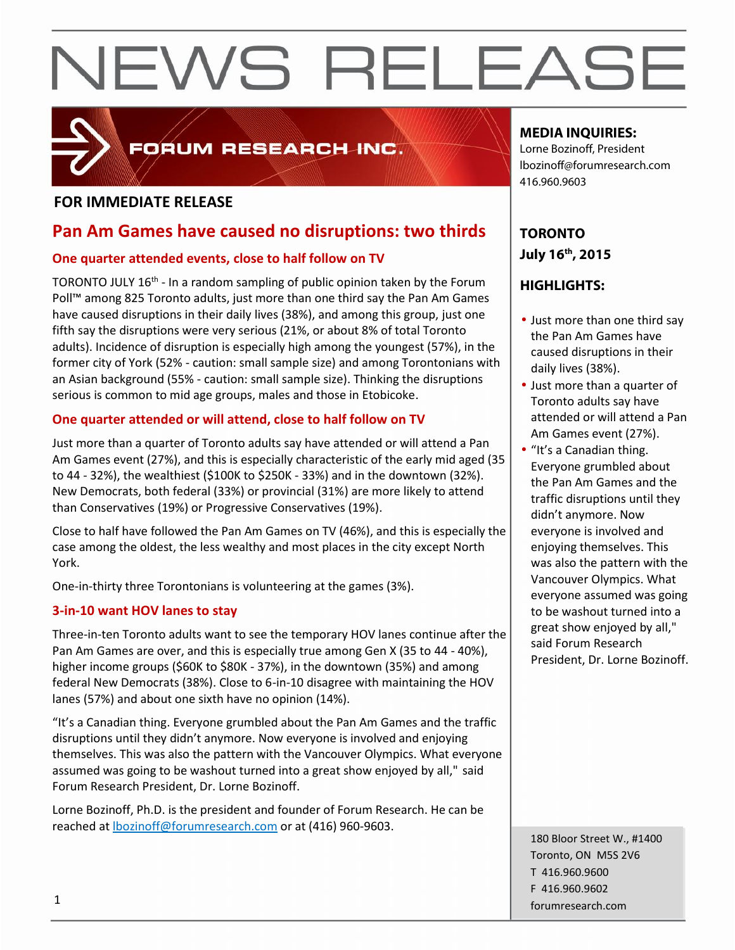

# FORUM RESEARCH INC.

# **FOR IMMEDIATE RELEASE**

# **Pan Am Games have caused no disruptions: two thirds**

### **One quarter attended events, close to half follow on TV**

TORONTO JULY 16<sup>th</sup> - In a random sampling of public opinion taken by the Forum  $\Box$  **HIGHL** Poll™ among 825 Toronto adults, just more than one third say the Pan Am Games have caused disruptions in their daily lives (38%), and among this group, just one fifth say the disruptions were very serious (21%, or about 8% of total Toronto adults). Incidence of disruption is especially high among the youngest (57%), in the former city of York (52% - caution: small sample size) and among Torontonians with an Asian background (55% - caution: small sample size). Thinking the disruptions serious is common to mid age groups, males and those in Etobicoke.

## **One quarter attended or will attend, close to half follow on TV**

Just more than a quarter of Toronto adults say have attended or will attend a Pan Am Games event (27%), and this is especially characteristic of the early mid aged (35 to 44 - 32%), the wealthiest (\$100K to \$250K - 33%) and in the downtown (32%). New Democrats, both federal (33%) or provincial (31%) are more likely to attend than Conservatives (19%) or Progressive Conservatives (19%).

Close to half have followed the Pan Am Games on TV (46%), and this is especially the case among the oldest, the less wealthy and most places in the city except North York.

One-in-thirty three Torontonians is volunteering at the games (3%).

## **3-in-10 want HOV lanes to stay**

Three-in-ten Toronto adults want to see the temporary HOV lanes continue after the Pan Am Games are over, and this is especially true among Gen X (35 to 44 - 40%), higher income groups (\$60K to \$80K - 37%), in the downtown (35%) and among federal New Democrats (38%). Close to 6-in-10 disagree with maintaining the HOV lanes (57%) and about one sixth have no opinion (14%).

"It's a Canadian thing. Everyone grumbled about the Pan Am Games and the traffic disruptions until they didn't anymore. Now everyone is involved and enjoying themselves. This was also the pattern with the Vancouver Olympics. What everyone assumed was going to be washout turned into a great show enjoyed by all," said Forum Research President, Dr. Lorne Bozinoff.

Lorne Bozinoff, Ph.D. is the president and founder of Forum Research. He can be reached at lbozinoff@forumresearch.com or at (416) 960-9603.

# **MEDIA INQUIRIES:**

Lorne Bozinoff, President lbozinoff@forumresearch.com 416.960.9603

# **TORONTO July 16th, 2015**

# **HIGHLIGHTS:**

- Just more than one third say the Pan Am Games have caused disruptions in their daily lives (38%).
- Just more than a quarter of Toronto adults say have attended or will attend a Pan Am Games event (27%).
- "It's a Canadian thing. Everyone grumbled about the Pan Am Games and the traffic disruptions until they didn't anymore. Now everyone is involved and enjoying themselves. This was also the pattern with the Vancouver Olympics. What everyone assumed was going to be washout turned into a great show enjoyed by all," said Forum Research President, Dr. Lorne Bozinoff.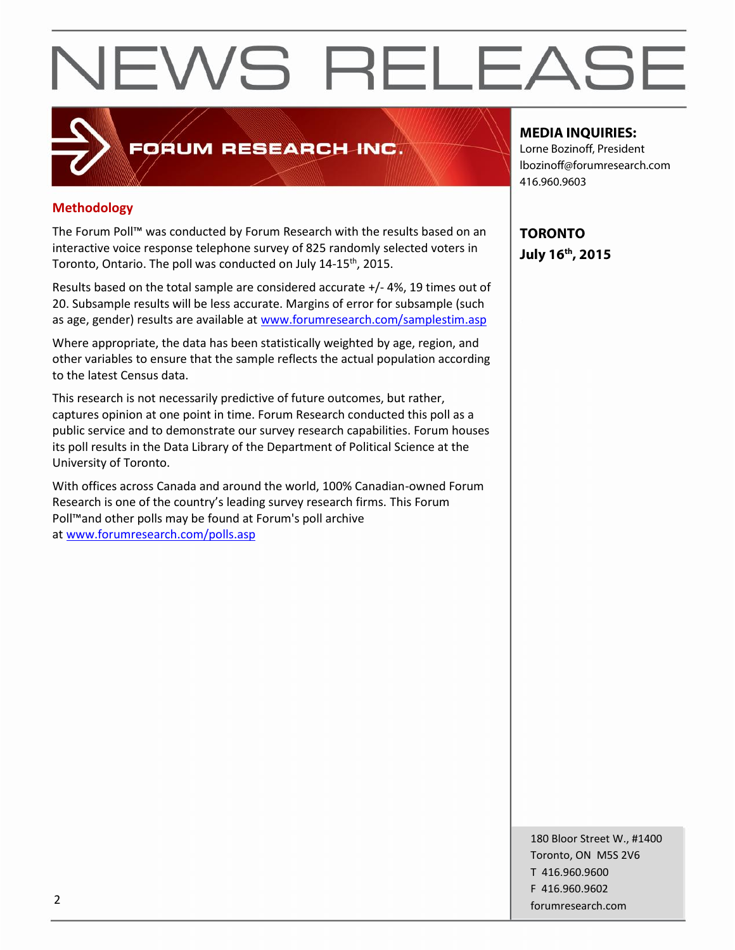# **Methodology**

The Forum Poll™ was conducted by Forum Research with the results based on an interactive voice response telephone survey of 825 randomly selected voters in Toronto, Ontario. The poll was conducted on July 14-15<sup>th</sup>, 2015.

FORUM RESEARCH INC.

Results based on the total sample are considered accurate +/-4%, 19 times out of 20. Subsample results will be less accurate. Margins of error for subsample (such as age, gender) results are available at www.forumresearch.com/samplestim.asp

Where appropriate, the data has been statistically weighted by age, region, and other variables to ensure that the sample reflects the actual population according to the latest Census data.

This research is not necessarily predictive of future outcomes, but rather, captures opinion at one point in time. Forum Research conducted this poll as a public service and to demonstrate our survey research capabilities. Forum houses its poll results in the Data Library of the Department of Political Science at the University of Toronto.

With offices across Canada and around the world, 100% Canadian-owned Forum Research is one of the country's leading survey research firms. This Forum Poll™and other polls may be found at Forum's poll archive at www.forumresearch.com/polls.asp

### **MEDIA INQUIRIES:**

Lorne Bozinoff, President lbozinoff@forumresearch.com 416.960.9603

**TORONTO July 16th, 2015**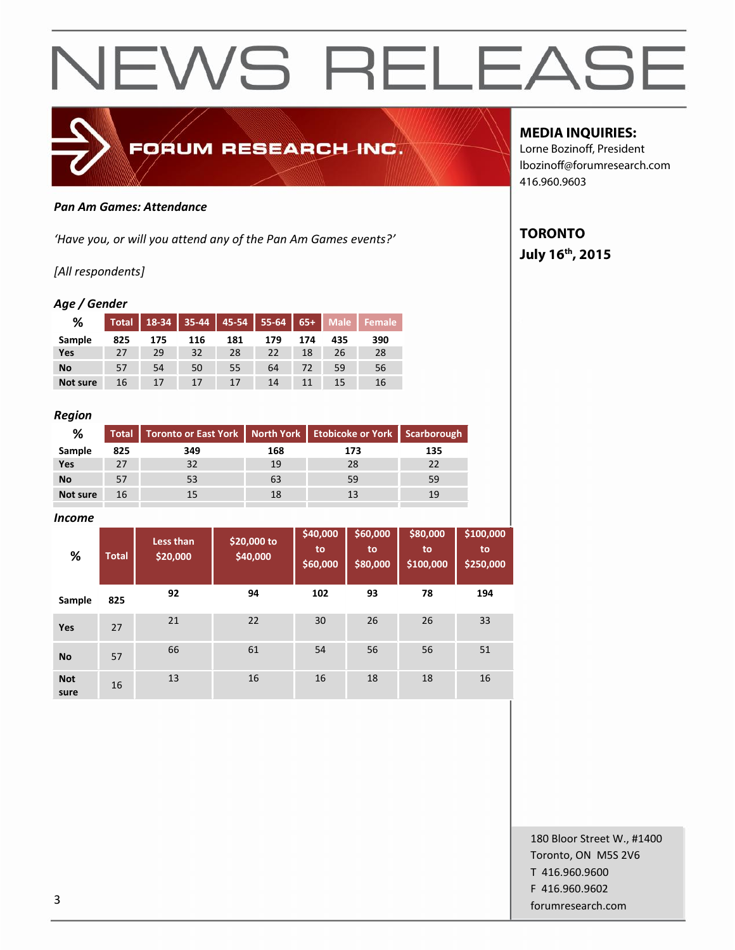

#### *Pan Am Games: Attendance*

*'Have you, or will you attend any of the Pan Am Games events?'*

### *[All respondents]*

#### *Age / Gender*

| %         | Total |     |     | 18-34   35-44   45-54   55-64 |     |     |     | 65+ Male Female |
|-----------|-------|-----|-----|-------------------------------|-----|-----|-----|-----------------|
| Sample    | 825   | 175 | 116 | 181                           | 179 | 174 | 435 | 390             |
| Yes       | 27    | 29  | 32  | 28                            | 22  | 18  | 26  | 28              |
| <b>No</b> | 57    | 54  | 50  | 55                            | 64  | 72  | 59  | 56              |
| Not sure  | 16    | 17  | 17  | 17                            | 14  |     | 15  | 16              |

#### *Region*

| ℅         |     | Total   Toronto or East York   North York   Etobicoke or York   Scarborough |     |     |     |
|-----------|-----|-----------------------------------------------------------------------------|-----|-----|-----|
| Sample    | 825 | 349                                                                         | 168 | 173 | 135 |
| Yes       | 27  | 32                                                                          | 19  | 28  | 22  |
| <b>No</b> | 57  | 53                                                                          | 63  | 59  | 59  |
| Not sure  | 16  |                                                                             | 18  |     | 19  |
|           |     |                                                                             |     |     |     |

#### *Income*

| %                  | <b>Total</b> | Less than<br>\$20,000 | \$20,000 to<br>\$40,000 | \$40,000<br>to<br>\$60,000 | \$60,000<br>to<br>\$80,000 | \$80,000<br>to<br>\$100,000 | \$100,000<br>to<br>\$250,000 |
|--------------------|--------------|-----------------------|-------------------------|----------------------------|----------------------------|-----------------------------|------------------------------|
| Sample             | 825          | 92                    | 94                      | 102                        | 93                         | 78                          | 194                          |
| Yes                | 27           | 21                    | 22                      | 30                         | 26                         | 26                          | 33                           |
| <b>No</b>          | 57           | 66                    | 61                      | 54                         | 56                         | 56                          | 51                           |
| <b>Not</b><br>sure | 16           | 13                    | 16                      | 16                         | 18                         | 18                          | 16                           |

## **MEDIA INQUIRIES:**

Lorne Bozinoff, President lbozinoff@forumresearch.com 416.960.9603

# **TORONTO**

### **July 16th, 2015**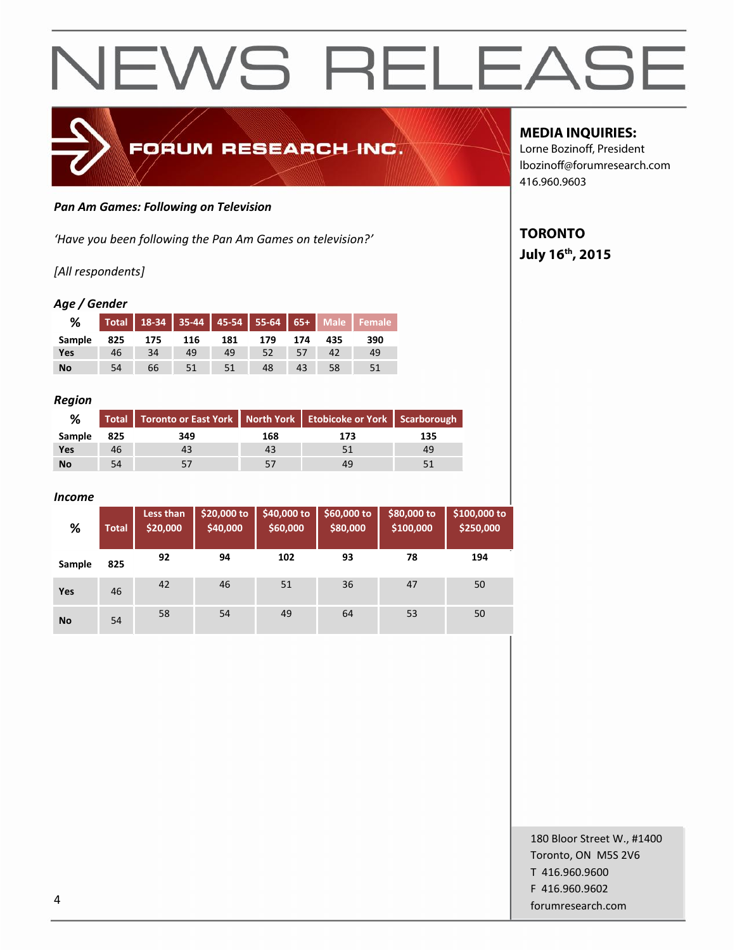

#### *Pan Am Games: Following on Television*

*'Have you been following the Pan Am Games on television?'*

### *[All respondents]*

#### *Age / Gender*

| %      |     |     |     |     |     |     |     | Total   18-34   35-44   45-54   55-64   65+   Male   Female |
|--------|-----|-----|-----|-----|-----|-----|-----|-------------------------------------------------------------|
| Sample | 825 | 175 | 116 | 181 | 179 | 174 | 435 | 390                                                         |
| Yes    | 46  | 34  | 49  | 49  | 52  |     | 42  | 49                                                          |
| No     | 54  | 66  | 51  | 51  | 48  | 43  | 58  |                                                             |

#### *Region*

| %         |     | Total   Toronto or East York   North York   Etobicoke or York   Scarborough |     |     |     |  |
|-----------|-----|-----------------------------------------------------------------------------|-----|-----|-----|--|
| Sample    | 825 | 349                                                                         | 168 | 173 | 135 |  |
| Yes       | 46  |                                                                             | 43  |     | 49  |  |
| <b>No</b> | 54  |                                                                             |     |     |     |  |

#### *Income*

| %         | <b>Total</b> | Less than<br>\$20,000 | \$20,000 to<br>\$40,000 | \$40,000 to<br>\$60,000 | \$60,000 to<br>\$80,000 | \$80,000 to<br>\$100,000 | \$100,000 to<br>\$250,000 |
|-----------|--------------|-----------------------|-------------------------|-------------------------|-------------------------|--------------------------|---------------------------|
| Sample    | 825          | 92                    | 94                      | 102                     | 93                      | 78                       | 194                       |
| Yes       | 46           | 42                    | 46                      | 51                      | 36                      | 47                       | 50                        |
| <b>No</b> | 54           | 58                    | 54                      | 49                      | 64                      | 53                       | 50                        |

## **MEDIA INQUIRIES:**

Lorne Bozinoff, President lbozinoff@forumresearch.com 416.960.9603

# **TORONTO**

**July 16th, 2015**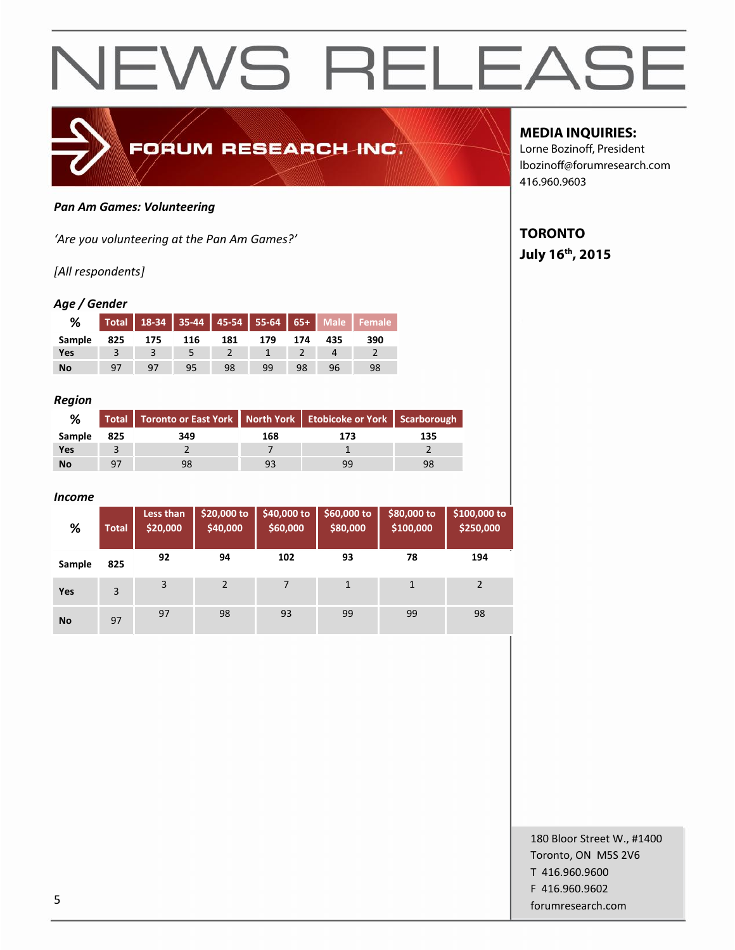

#### *Pan Am Games: Volunteering*

*'Are you volunteering at the Pan Am Games?'*

#### *[All respondents]*

#### *Age / Gender*

| %      |     |     |     |     |     |     |     | Total   18-34   35-44   45-54   55-64   65+   Male   Female |
|--------|-----|-----|-----|-----|-----|-----|-----|-------------------------------------------------------------|
| Sample | 825 | 175 | 116 | 181 | 179 | 174 | 435 | 390                                                         |
| Yes    |     |     |     |     |     |     |     |                                                             |
| No     | 97  | 97  | 95  | 98  | 99  | 98  | 96  | 98                                                          |

#### *Region*

| %         |                | Total   Toronto or East York   North York   Etobicoke or York   Scarborough |     |     |     |
|-----------|----------------|-----------------------------------------------------------------------------|-----|-----|-----|
| Sample    | 825            | 349                                                                         | 168 | 173 | 135 |
| Yes       |                |                                                                             |     |     |     |
| <b>No</b> | Q <sub>7</sub> | 98                                                                          | 93  | gg  |     |

#### *Income*

| %          | <b>Total</b> | Less than<br>\$20,000 | \$20,000 to<br>\$40,000 | \$40,000 to<br>\$60,000 | \$60,000 to<br>\$80,000 | \$80,000 to<br>\$100,000 | \$100,000 to<br>\$250,000 |
|------------|--------------|-----------------------|-------------------------|-------------------------|-------------------------|--------------------------|---------------------------|
| Sample     | 825          | 92                    | 94                      | 102                     | 93                      | 78                       | 194                       |
| <b>Yes</b> | 3            | 3                     | $\overline{2}$          | 7                       | 1                       |                          | $\overline{2}$            |
| <b>No</b>  | 97           | 97                    | 98                      | 93                      | 99                      | 99                       | 98                        |

### **MEDIA INQUIRIES:**

Lorne Bozinoff, President lbozinoff@forumresearch.com 416.960.9603

# **TORONTO**

## **July 16th, 2015**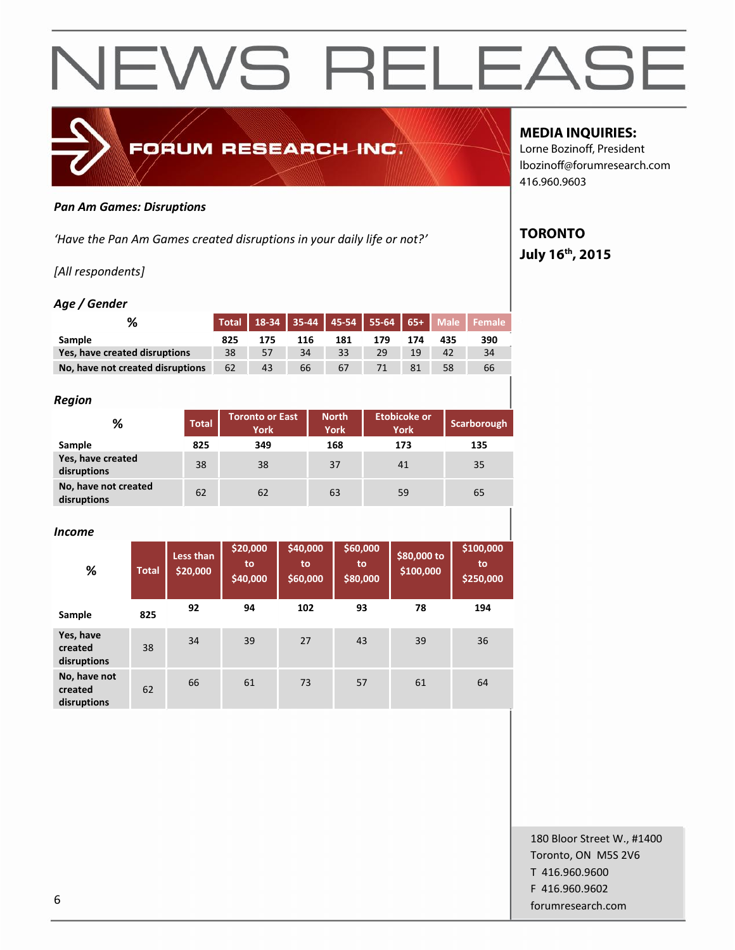

#### *Pan Am Games: Disruptions*

*'Have the Pan Am Games created disruptions in your daily life or not?'*

# *[All respondents]*

#### *Age / Gender*

|                                  |     |     |     |     |     |     |     | Total   18-34   35-44   45-54   55-64   65+   Male   Female |
|----------------------------------|-----|-----|-----|-----|-----|-----|-----|-------------------------------------------------------------|
| Sample                           | 825 | 175 | 116 | 181 | 179 | 174 | 435 | 390                                                         |
| Yes, have created disruptions    | 38  | 57  | 34  | 33  | 29  | 19  | 42  | 34                                                          |
| No, have not created disruptions | 62  | 43  | 66  | 67  | 71  | 81  | 58  | 66                                                          |

#### *Region*

| .                                   |              |                                |                             |                                    |             |  |
|-------------------------------------|--------------|--------------------------------|-----------------------------|------------------------------------|-------------|--|
| %                                   | <b>Total</b> | <b>Toronto or East</b><br>York | <b>North</b><br><b>York</b> | <b>Etobicoke or</b><br><b>York</b> | Scarborough |  |
| Sample                              | 825          | 349                            | 168                         | 173                                | 135         |  |
| Yes, have created<br>disruptions    | 38           | 38                             | 37                          | 41                                 | 35          |  |
| No, have not created<br>disruptions | 62           | 62                             | 63                          | 59                                 | 65          |  |

#### *Income*

| %                                      | <b>Total</b> | Less than<br>\$20,000 | \$20,000<br>to<br>\$40,000 | \$40,000<br>to<br>\$60,000 | \$60,000<br>to<br>\$80,000 | \$80,000 to<br>\$100,000 | \$100,000<br>to<br>\$250,000 |
|----------------------------------------|--------------|-----------------------|----------------------------|----------------------------|----------------------------|--------------------------|------------------------------|
| Sample                                 | 825          | 92                    | 94                         | 102                        | 93                         | 78                       | 194                          |
| Yes, have<br>created<br>disruptions    | 38           | 34                    | 39                         | 27                         | 43                         | 39                       | 36                           |
| No, have not<br>created<br>disruptions | 62           | 66                    | 61                         | 73                         | 57                         | 61                       | 64                           |

# **MEDIA INQUIRIES:**

Lorne Bozinoff, President lbozinoff@forumresearch.com 416.960.9603

# **TORONTO July 16th, 2015**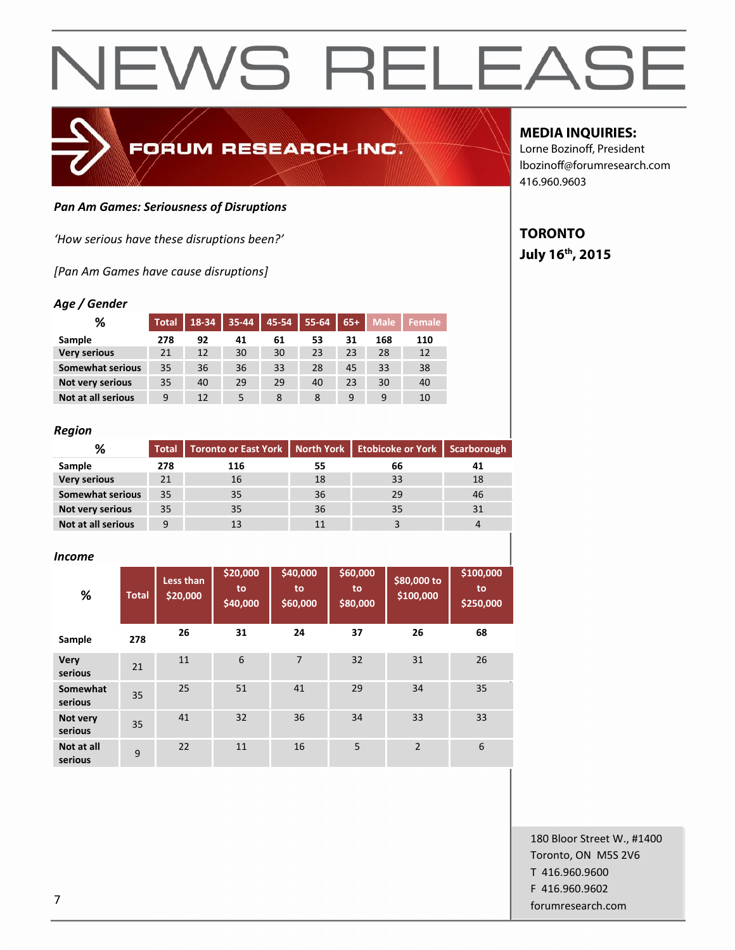

#### *Pan Am Games: Seriousness of Disruptions*

*'How serious have these disruptions been?'*

*[Pan Am Games have cause disruptions]*

#### *Age / Gender*

| %                         | <b>Total</b> | 18-34 | 35-44 | $45 - 54$ | $55 - 64$ | $65+$ | <b>Male</b> | <b>Female</b> |
|---------------------------|--------------|-------|-------|-----------|-----------|-------|-------------|---------------|
| Sample                    | 278          | 92    | 41    | 61        | 53        | 31    | 168         | 110           |
| <b>Very serious</b>       | 21           | 12    | 30    | 30        | 23        | 23    | 28          | 12            |
| <b>Somewhat serious</b>   | 35           | 36    | 36    | 33        | 28        | 45    | 33          | 38            |
| Not very serious          | 35           | 40    | 29    | 29        | 40        | 23    | 30          | 40            |
| <b>Not at all serious</b> | 9            | 12    |       | 8         | 8         | 9     | 9           | 10            |

#### *Region*

| %                       |     | Total   Toronto or East York   North York   Etobicoke or York   Scarborough |    |    |    |  |
|-------------------------|-----|-----------------------------------------------------------------------------|----|----|----|--|
| Sample                  | 278 | 116                                                                         | 55 | 66 | 41 |  |
| <b>Very serious</b>     | 21  | 16                                                                          | 18 | 33 | 18 |  |
| <b>Somewhat serious</b> | 35  | 35                                                                          | 36 | 29 | 46 |  |
| <b>Not very serious</b> | 35  | 35                                                                          | 36 | 35 | 31 |  |
| Not at all serious      | 9   |                                                                             | 11 |    |    |  |

#### *Income*

| %                      | <b>Total</b> | Less than<br>\$20,000 | \$20,000<br>to<br>\$40,000 | \$40,000<br>to<br>\$60,000 | \$60,000<br>to<br>\$80,000 | \$80,000 to<br>\$100,000 | \$100,000<br>to<br>\$250,000 |
|------------------------|--------------|-----------------------|----------------------------|----------------------------|----------------------------|--------------------------|------------------------------|
| Sample                 | 278          | 26                    | 31                         | 24                         | 37                         | 26                       | 68                           |
| <b>Very</b><br>serious | 21           | 11                    | 6                          | 7                          | 32                         | 31                       | 26                           |
| Somewhat<br>serious    | 35           | 25                    | 51                         | 41                         | 29                         | 34                       | 35                           |
| Not very<br>serious    | 35           | 41                    | 32                         | 36                         | 34                         | 33                       | 33                           |
| Not at all<br>serious  | 9            | 22                    | 11                         | 16                         | 5                          | $\overline{2}$           | 6                            |

### **MEDIA INQUIRIES:**

Lorne Bozinoff, President lbozinoff@forumresearch.com 416.960.9603

# **TORONTO July 16th, 2015**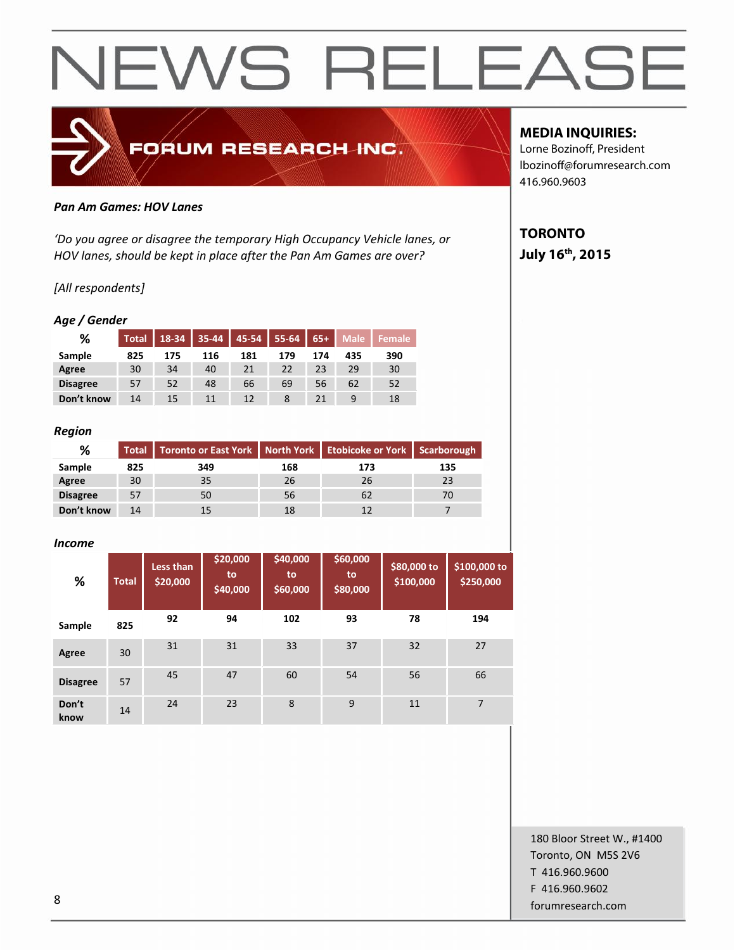

#### *Pan Am Games: HOV Lanes*

*'Do you agree or disagree the temporary High Occupancy Vehicle lanes, or HOV lanes, should be kept in place after the Pan Am Games are over?*

#### *[All respondents]*

#### *Age / Gender*

| %               | <b>Total</b> | 18-34 | $35 - 44$ | $45 - 54$ | $55 - 64$ | $65+$ | <b>Male</b> | <b>Female</b> |
|-----------------|--------------|-------|-----------|-----------|-----------|-------|-------------|---------------|
| Sample          | 825          | 175   | 116       | 181       | 179       | 174   | 435         | 390           |
| Agree           | 30           | 34    | 40        | 21        | 22        | 23    | 29          | 30            |
| <b>Disagree</b> | 57           | 52    | 48        | 66        | 69        | 56    | 62          | 52            |
| Don't know      | 14           | 15    | 11        | 12        | 8         | 21    | 9           | 18            |

#### *Region*

| %               | Total | Toronto or East York   North York   Etobicoke or York   Scarborough |     |     |     |  |
|-----------------|-------|---------------------------------------------------------------------|-----|-----|-----|--|
| Sample          | 825   | 349                                                                 | 168 | 173 | 135 |  |
| Agree           | 30    | 35                                                                  | 26  | 26  |     |  |
| <b>Disagree</b> | 57    | 50                                                                  | 56  | 62  |     |  |
| Don't know      | 14    |                                                                     | 18  |     |     |  |

#### *Income*

| %               | <b>Total</b> | Less than<br>\$20,000 | \$20,000<br>to<br>\$40,000 | \$40,000<br>to<br>\$60,000 | \$60,000<br>to<br>\$80,000 | \$80,000 to<br>\$100,000 | \$100,000 to<br>\$250,000 |
|-----------------|--------------|-----------------------|----------------------------|----------------------------|----------------------------|--------------------------|---------------------------|
| Sample          | 825          | 92                    | 94                         | 102                        | 93                         | 78                       | 194                       |
| Agree           | 30           | 31                    | 31                         | 33                         | 37                         | 32                       | 27                        |
| <b>Disagree</b> | 57           | 45                    | 47                         | 60                         | 54                         | 56                       | 66                        |
| Don't<br>know   | 14           | 24                    | 23                         | 8                          | 9                          | 11                       | $\overline{7}$            |

### **MEDIA INQUIRIES:**

Lorne Bozinoff, President lbozinoff@forumresearch.com 416.960.9603

# **TORONTO July 16th, 2015**

180 Bloor Street W., #1400 Toronto, ON M5S 2V6 T 416.960.9600 F 416.960.9602 entity and the state of the state of the state of the state of the state of the state of the state of the state of the state of the state of the state of the state of the state of the state of the state of the state of the